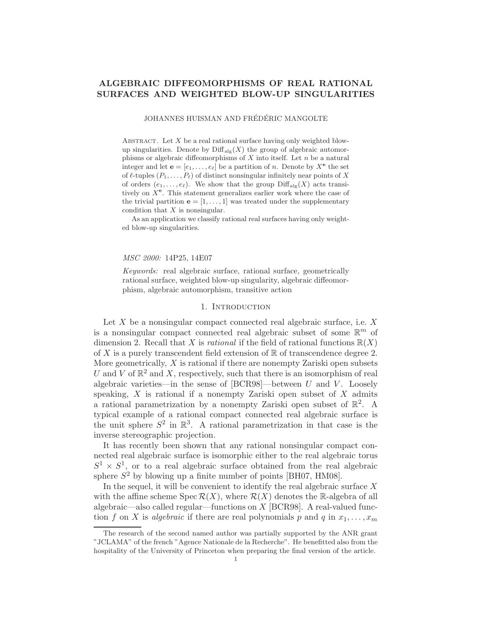# ALGEBRAIC DIFFEOMORPHISMS OF REAL RATIONAL SURFACES AND WEIGHTED BLOW-UP SINGULARITIES

JOHANNES HUISMAN AND FRÉDÉRIC MANGOLTE

ABSTRACT. Let  $X$  be a real rational surface having only weighted blowup singularities. Denote by  $\text{Diff}_{\text{alg}}(X)$  the group of algebraic automorphisms or algebraic diffeomorphisms of  $X$  into itself. Let  $n$  be a natural integer and let  $\mathbf{e} = [e_1, \dots, e_\ell]$  be a partition of *n*. Denote by  $X^{\mathbf{e}}$  the set of  $\ell$ -tuples  $(P_1, \ldots, P_\ell)$  of distinct nonsingular infinitely near points of X of orders  $(e_1, \ldots, e_\ell)$ . We show that the group  $\text{Diff}_{\text{alg}}(X)$  acts transitively on  $X^e$ . This statement generalizes earlier work where the case of the trivial partition  $e = [1, \ldots, 1]$  was treated under the supplementary condition that X is nonsingular.

As an application we classify rational real surfaces having only weighted blow-up singularities.

#### MSC 2000: 14P25, 14E07

Keywords: real algebraic surface, rational surface, geometrically rational surface, weighted blow-up singularity, algebraic diffeomorphism, algebraic automorphism, transitive action

#### 1. Introduction

Let  $X$  be a nonsingular compact connected real algebraic surface, i.e.  $X$ is a nonsingular compact connected real algebraic subset of some  $\mathbb{R}^m$  of dimension 2. Recall that X is *rational* if the field of rational functions  $\mathbb{R}(X)$ of X is a purely transcendent field extension of  $\mathbb R$  of transcendence degree 2. More geometrically,  $X$  is rational if there are nonempty Zariski open subsets U and V of  $\mathbb{R}^2$  and X, respectively, such that there is an isomorphism of real algebraic varieties—in the sense of  $[BCR98]$ —between U and V. Loosely speaking,  $X$  is rational if a nonempty Zariski open subset of  $X$  admits a rational parametrization by a nonempty Zariski open subset of  $\mathbb{R}^2$ . A typical example of a rational compact connected real algebraic surface is the unit sphere  $S^2$  in  $\mathbb{R}^3$ . A rational parametrization in that case is the inverse stereographic projection.

It has recently been shown that any rational nonsingular compact connected real algebraic surface is isomorphic either to the real algebraic torus  $S^1 \times S^1$ , or to a real algebraic surface obtained from the real algebraic sphere  $S^2$  by blowing up a finite number of points [BH07, HM08].

In the sequel, it will be convenient to identify the real algebraic surface  $X$ with the affine scheme  $Spec R(X)$ , where  $R(X)$  denotes the R-algebra of all algebraic—also called regular—functions on X [BCR98]. A real-valued function f on X is algebraic if there are real polynomials p and q in  $x_1, \ldots, x_m$ 

The research of the second named author was partially supported by the ANR grant "JCLAMA" of the french "Agence Nationale de la Recherche". He benefitted also from the hospitality of the University of Princeton when preparing the final version of the article.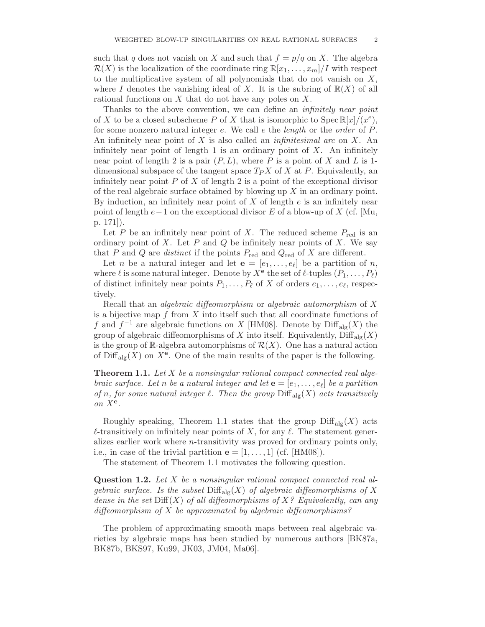such that q does not vanish on X and such that  $f = p/q$  on X. The algebra  $\mathcal{R}(X)$  is the localization of the coordinate ring  $\mathbb{R}[x_1,\ldots,x_m]/I$  with respect to the multiplicative system of all polynomials that do not vanish on  $X$ , where I denotes the vanishing ideal of X. It is the subring of  $\mathbb{R}(X)$  of all rational functions on  $X$  that do not have any poles on  $X$ .

Thanks to the above convention, we can define an *infinitely near point* of X to be a closed subscheme P of X that is isomorphic to  $Spec \mathbb{R}[x]/(x^e)$ , for some nonzero natural integer e. We call e the *length* or the *order* of P. An infinitely near point of X is also called an *infinitesimal arc* on X. An infinitely near point of length 1 is an ordinary point of  $X$ . An infinitely near point of length 2 is a pair  $(P, L)$ , where P is a point of X and L is 1dimensional subspace of the tangent space  $T_P X$  of X at P. Equivalently, an infinitely near point  $P$  of  $X$  of length 2 is a point of the exceptional divisor of the real algebraic surface obtained by blowing up  $X$  in an ordinary point. By induction, an infinitely near point of X of length  $e$  is an infinitely near point of length  $e-1$  on the exceptional divisor E of a blow-up of X (cf. [Mu, p. 171]).

Let P be an infinitely near point of X. The reduced scheme  $P_{\text{red}}$  is an ordinary point of X. Let  $P$  and  $Q$  be infinitely near points of X. We say that P and Q are *distinct* if the points  $P_{\text{red}}$  and  $Q_{\text{red}}$  of X are different.

Let *n* be a natural integer and let  $\mathbf{e} = [e_1, \dots, e_\ell]$  be a partition of *n*, where  $\ell$  is some natural integer. Denote by  $X^{\mathbf{e}}$  the set of  $\ell$ -tuples  $(P_1,\ldots,P_\ell)$ of distinct infinitely near points  $P_1, \ldots, P_\ell$  of X of orders  $e_1, \ldots, e_\ell$ , respectively.

Recall that an *algebraic diffeomorphism* or *algebraic automorphism* of  $X$ is a bijective map  $f$  from  $X$  into itself such that all coordinate functions of f and  $f^{-1}$  are algebraic functions on X [HM08]. Denote by  $\text{Diff}_{\text{alg}}(X)$  the group of algebraic diffeomorphisms of X into itself. Equivalently,  $\text{Diff}_{\text{alg}}(X)$ is the group of R-algebra automorphisms of  $\mathcal{R}(X)$ . One has a natural action of  $\text{Diff}_{\text{alg}}(X)$  on  $X^e$ . One of the main results of the paper is the following.

**Theorem 1.1.** Let  $X$  be a nonsingular rational compact connected real algebraic surface. Let n be a natural integer and let  $\mathbf{e} = [e_1, \ldots, e_\ell]$  be a partition of n, for some natural integer  $\ell$ . Then the group  $\text{Diff}_{\text{alg}}(X)$  acts transitively on  $X^{\mathbf{e}}$ .

Roughly speaking, Theorem 1.1 states that the group  $\text{Diff}_{\text{alg}}(X)$  acts  $\ell$ -transitively on infinitely near points of X, for any  $\ell$ . The statement generalizes earlier work where n-transitivity was proved for ordinary points only, i.e., in case of the trivial partition  $\mathbf{e} = [1, \ldots, 1]$  (cf. [HM08]).

The statement of Theorem 1.1 motivates the following question.

**Question 1.2.** Let  $X$  be a nonsingular rational compact connected real algebraic surface. Is the subset  $\text{Diff}_{\text{alg}}(X)$  of algebraic diffeomorphisms of X dense in the set  $\text{Diff}(X)$  of all diffeomorphisms of  $X$ ? Equivalently, can any diffeomorphism of  $X$  be approximated by algebraic diffeomorphisms?

The problem of approximating smooth maps between real algebraic varieties by algebraic maps has been studied by numerous authors [BK87a, BK87b, BKS97, Ku99, JK03, JM04, Ma06].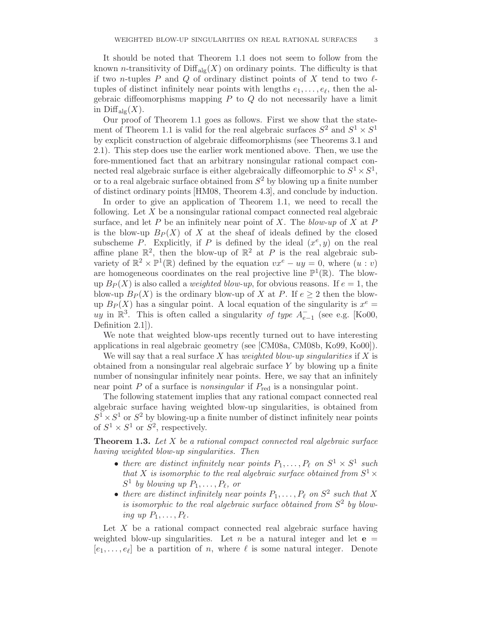It should be noted that Theorem 1.1 does not seem to follow from the known *n*-transitivity of  $\text{Diff}_{\text{alg}}(X)$  on ordinary points. The difficulty is that if two n-tuples P and Q of ordinary distinct points of X tend to two  $\ell$ tuples of distinct infinitely near points with lengths  $e_1, \ldots, e_\ell$ , then the algebraic diffeomorphisms mapping  $P$  to  $Q$  do not necessarily have a limit in  $\text{Diff}_{\text{alo}}(X)$ .

Our proof of Theorem 1.1 goes as follows. First we show that the statement of Theorem 1.1 is valid for the real algebraic surfaces  $S^2$  and  $S^1 \times S^1$ by explicit construction of algebraic diffeomorphisms (see Theorems 3.1 and 2.1). This step does use the earlier work mentioned above. Then, we use the fore-mmentioned fact that an arbitrary nonsingular rational compact connected real algebraic surface is either algebraically diffeomorphic to  $S^1 \times S^1$ , or to a real algebraic surface obtained from  $S^2$  by blowing up a finite number of distinct ordinary points [HM08, Theorem 4.3], and conclude by induction.

In order to give an application of Theorem 1.1, we need to recall the following. Let X be a nonsingular rational compact connected real algebraic surface, and let P be an infinitely near point of X. The blow-up of X at P is the blow-up  $B_P(X)$  of X at the sheaf of ideals defined by the closed subscheme P. Explicitly, if P is defined by the ideal  $(x^e, y)$  on the real affine plane  $\mathbb{R}^2$ , then the blow-up of  $\mathbb{R}^2$  at P is the real algebraic subvariety of  $\mathbb{R}^2 \times \mathbb{P}^1(\mathbb{R})$  defined by the equation  $vx^e - uy = 0$ , where  $(u : v)$ are homogeneous coordinates on the real projective line  $\mathbb{P}^1(\mathbb{R})$ . The blowup  $B_P(X)$  is also called a *weighted blow-up*, for obvious reasons. If  $e = 1$ , the blow-up  $B_P(X)$  is the ordinary blow-up of X at P. If  $e > 2$  then the blowup  $B_P(X)$  has a singular point. A local equation of the singularity is  $x^e =$ uy in  $\mathbb{R}^3$ . This is often called a singularity of type  $A_{e-1}^-$  (see e.g. [Ko00, Definition 2.1]).

We note that weighted blow-ups recently turned out to have interesting applications in real algebraic geometry (see [CM08a, CM08b, Ko99, Ko00]).

We will say that a real surface X has *weighted blow-up singularities* if X is obtained from a nonsingular real algebraic surface  $Y$  by blowing up a finite number of nonsingular infinitely near points. Here, we say that an infinitely near point  $P$  of a surface is *nonsingular* if  $P_{\text{red}}$  is a nonsingular point.

The following statement implies that any rational compact connected real algebraic surface having weighted blow-up singularities, is obtained from  $S^1 \times S^1$  or  $S^2$  by blowing-up a finite number of distinct infinitely near points of  $S^1 \times S^1$  or  $S^2$ , respectively.

**Theorem 1.3.** Let X be a rational compact connected real algebraic surface having weighted blow-up singularities. Then

- there are distinct infinitely near points  $P_1, \ldots, P_\ell$  on  $S^1 \times S^1$  such that X is isomorphic to the real algebraic surface obtained from  $S^1$   $\times$  $S^1$  by blowing up  $P_1, \ldots, P_\ell$ , or
- there are distinct infinitely near points  $P_1, \ldots, P_\ell$  on  $S^2$  such that X is isomorphic to the real algebraic surface obtained from  $S^2$  by blowing up  $P_1, \ldots, P_\ell$ .

Let  $X$  be a rational compact connected real algebraic surface having weighted blow-up singularities. Let n be a natural integer and let  $e =$  $[e_1, \ldots, e_\ell]$  be a partition of *n*, where  $\ell$  is some natural integer. Denote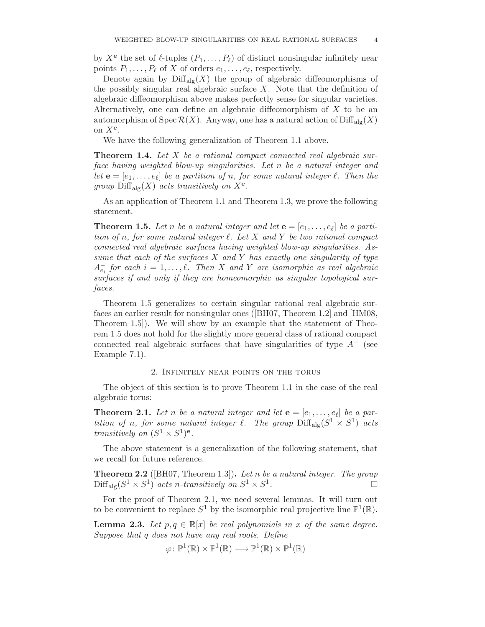by  $X^{\mathbf{e}}$  the set of  $\ell$ -tuples  $(P_1, \ldots, P_\ell)$  of distinct nonsingular infinitely near points  $P_1, \ldots, P_\ell$  of X of orders  $e_1, \ldots, e_\ell$ , respectively.

Denote again by  $\text{Diff}_{\text{alg}}(X)$  the group of algebraic diffeomorphisms of the possibly singular real algebraic surface  $X$ . Note that the definition of algebraic diffeomorphism above makes perfectly sense for singular varieties. Alternatively, one can define an algebraic diffeomorphism of  $X$  to be an automorphism of Spec  $\mathcal{R}(X)$ . Anyway, one has a natural action of  $\text{Diff}_{\text{alg}}(X)$ on  $X^{\mathbf{e}}$ .

We have the following generalization of Theorem 1.1 above.

**Theorem 1.4.** Let  $X$  be a rational compact connected real algebraic surface having weighted blow-up singularities. Let n be a natural integer and let  $\mathbf{e} = [e_1, \ldots, e_\ell]$  be a partition of n, for some natural integer  $\ell$ . Then the group  $\text{Diff}_{\text{alg}}(X)$  acts transitively on  $X^e$ .

As an application of Theorem 1.1 and Theorem 1.3, we prove the following statement.

**Theorem 1.5.** Let n be a natural integer and let  $\mathbf{e} = [e_1, \ldots, e_\ell]$  be a partition of n, for some natural integer  $\ell$ . Let X and Y be two rational compact connected real algebraic surfaces having weighted blow-up singularities. Assume that each of the surfaces  $X$  and  $Y$  has exactly one singularity of type  $A_{e_i}^-$  for each  $i = 1, \ldots, \ell$ . Then X and Y are isomorphic as real algebraic surfaces if and only if they are homeomorphic as singular topological surfaces.

Theorem 1.5 generalizes to certain singular rational real algebraic surfaces an earlier result for nonsingular ones ([BH07, Theorem 1.2] and [HM08, Theorem 1.5]). We will show by an example that the statement of Theorem 1.5 does not hold for the slightly more general class of rational compact connected real algebraic surfaces that have singularities of type  $A^-$  (see Example 7.1).

## 2. Infinitely near points on the torus

The object of this section is to prove Theorem 1.1 in the case of the real algebraic torus:

**Theorem 2.1.** Let n be a natural integer and let  $\mathbf{e} = [e_1, \ldots, e_\ell]$  be a partition of n, for some natural integer  $\ell$ . The group  $\text{Diff}_{\text{alg}}(S^1 \times S^1)$  acts transitively on  $(S^1 \times S^1)$ <sup>e</sup>.

The above statement is a generalization of the following statement, that we recall for future reference.

**Theorem 2.2** ( $[BH07, Theorem 1.3]$ ). Let n be a natural integer. The group  $\text{Diff}_{\text{alg}}(S^1 \times S^1)$  acts n-transitively on  $S^1 \times S^1$ .

For the proof of Theorem 2.1, we need several lemmas. It will turn out to be convenient to replace  $S^1$  by the isomorphic real projective line  $\mathbb{P}^1(\mathbb{R})$ .

**Lemma 2.3.** Let  $p, q \in \mathbb{R}[x]$  be real polynomials in x of the same degree. Suppose that q does not have any real roots. Define

 $\varphi\colon \mathbb{P}^1(\mathbb{R})\times \mathbb{P}^1(\mathbb{R})\longrightarrow \mathbb{P}^1(\mathbb{R})\times \mathbb{P}^1(\mathbb{R})$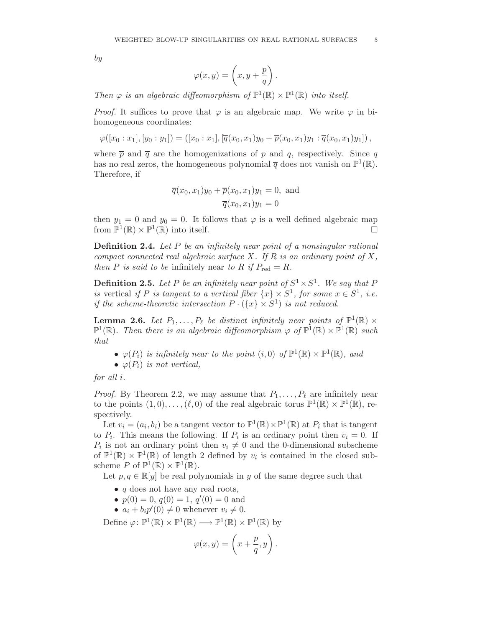by

$$
\varphi(x,y) = \left(x, y + \frac{p}{q}\right).
$$

Then  $\varphi$  is an algebraic diffeomorphism of  $\mathbb{P}^1(\mathbb{R}) \times \mathbb{P}^1(\mathbb{R})$  into itself.

*Proof.* It suffices to prove that  $\varphi$  is an algebraic map. We write  $\varphi$  in bihomogeneous coordinates:

$$
\varphi([x_0:x_1],[y_0:y_1])=([x_0:x_1],[\overline{q}(x_0,x_1)y_0+\overline{p}(x_0,x_1)y_1:\overline{q}(x_0,x_1)y_1]),
$$

where  $\bar{p}$  and  $\bar{q}$  are the homogenizations of p and q, respectively. Since q has no real zeros, the homogeneous polynomial  $\overline{q}$  does not vanish on  $\mathbb{P}^1(\mathbb{R})$ . Therefore, if

$$
\overline{q}(x_0, x_1)y_0 + \overline{p}(x_0, x_1)y_1 = 0
$$
, and  
 $\overline{q}(x_0, x_1)y_1 = 0$ 

then  $y_1 = 0$  and  $y_0 = 0$ . It follows that  $\varphi$  is a well defined algebraic map from  $\mathbb{P}^1(\mathbb{R}) \times \mathbb{P}^1(\mathbb{R})$  into itself.

**Definition 2.4.** Let  $P$  be an infinitely near point of a nonsingular rational compact connected real algebraic surface  $X$ . If  $R$  is an ordinary point of  $X$ , then P is said to be infinitely near to R if  $P_{\text{red}} = R$ .

**Definition 2.5.** Let P be an infinitely near point of  $S^1 \times S^1$ . We say that P is vertical if P is tangent to a vertical fiber  $\{x\} \times S^1$ , for some  $x \in S^1$ , i.e. if the scheme-theoretic intersection  $P \cdot (\{x\} \times S^1)$  is not reduced.

**Lemma 2.6.** Let  $P_1, \ldots, P_\ell$  be distinct infinitely near points of  $\mathbb{P}^1(\mathbb{R}) \times$  $\mathbb{P}^1(\mathbb{R})$ . Then there is an algebraic diffeomorphism  $\varphi$  of  $\mathbb{P}^1(\mathbb{R}) \times \mathbb{P}^1(\mathbb{R})$  such that

- $\varphi(P_i)$  is infinitely near to the point  $(i,0)$  of  $\mathbb{P}^1(\mathbb{R}) \times \mathbb{P}^1(\mathbb{R})$ , and
- $\varphi(P_i)$  is not vertical,

for all i.

*Proof.* By Theorem 2.2, we may assume that  $P_1, \ldots, P_\ell$  are infinitely near to the points  $(1,0),\ldots,(\ell,0)$  of the real algebraic torus  $\mathbb{P}^1(\mathbb{R}) \times \mathbb{P}^1(\mathbb{R})$ , respectively.

Let  $v_i = (a_i, b_i)$  be a tangent vector to  $\mathbb{P}^1(\mathbb{R}) \times \mathbb{P}^1(\mathbb{R})$  at  $P_i$  that is tangent to  $P_i$ . This means the following. If  $P_i$  is an ordinary point then  $v_i = 0$ . If  $P_i$  is not an ordinary point then  $v_i \neq 0$  and the 0-dimensional subscheme of  $\mathbb{P}^1(\mathbb{R}) \times \mathbb{P}^1(\mathbb{R})$  of length 2 defined by  $v_i$  is contained in the closed subscheme  $P$  of  $\mathbb{P}^1(\mathbb{R}) \times \mathbb{P}^1(\mathbb{R})$ .

Let  $p, q \in \mathbb{R}[y]$  be real polynomials in y of the same degree such that

- $q$  does not have any real roots,
- $p(0) = 0, q(0) = 1, q'(0) = 0$  and
- $a_i + b_i p'(0) \neq 0$  whenever  $v_i \neq 0$ .

Define  $\varphi: \mathbb{P}^1(\mathbb{R}) \times \mathbb{P}^1(\mathbb{R}) \longrightarrow \mathbb{P}^1(\mathbb{R}) \times \mathbb{P}^1(\mathbb{R})$  by

$$
\varphi(x,y) = \left(x + \frac{p}{q}, y\right).
$$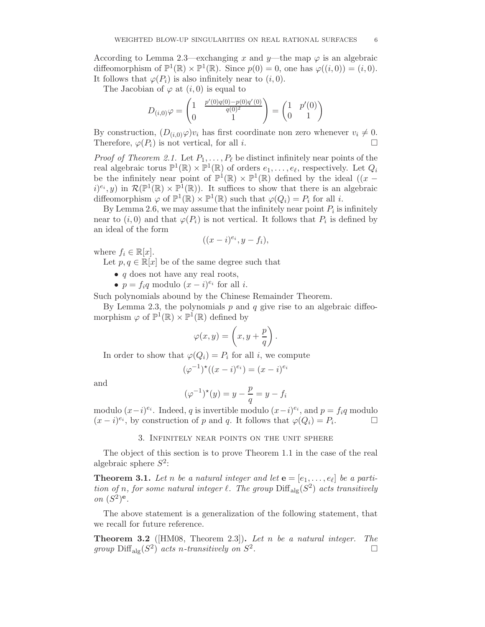According to Lemma 2.3—exchanging x and y—the map  $\varphi$  is an algebraic diffeomorphism of  $\mathbb{P}^1(\mathbb{R}) \times \mathbb{P}^1(\mathbb{R})$ . Since  $p(0) = 0$ , one has  $\varphi((i, 0)) = (i, 0)$ . It follows that  $\varphi(P_i)$  is also infinitely near to  $(i, 0)$ .

The Jacobian of  $\varphi$  at  $(i, 0)$  is equal to

$$
D_{(i,0)}\varphi = \begin{pmatrix} 1 & \frac{p'(0)q(0)-p(0)q'(0)}{q(0)^2} \\ 0 & 1 \end{pmatrix} = \begin{pmatrix} 1 & p'(0) \\ 0 & 1 \end{pmatrix}
$$

By construction,  $(D_{(i,0)}\varphi)v_i$  has first coordinate non zero whenever  $v_i \neq 0$ .<br>Therefore  $\varphi(P_i)$  is not vertical for all i Therefore,  $\varphi(P_i)$  is not vertical, for all *i*.

*Proof of Theorem 2.1.* Let  $P_1, \ldots, P_\ell$  be distinct infinitely near points of the real algebraic torus  $\mathbb{P}^1(\mathbb{R}) \times \mathbb{P}^1(\mathbb{R})$  of orders  $e_1, \ldots, e_\ell$ , respectively. Let  $Q_i$ be the infinitely near point of  $\mathbb{P}^1(\mathbb{R}) \times \mathbb{P}^1(\mathbb{R})$  defined by the ideal  $((x (i)^{e_i}, y$  in  $\mathcal{R}(\mathbb{P}^1(\mathbb{R}) \times \mathbb{P}^1(\mathbb{R}))$ . It suffices to show that there is an algebraic diffeomorphism  $\varphi$  of  $\mathbb{P}^1(\mathbb{R}) \times \mathbb{P}^1(\mathbb{R})$  such that  $\varphi(Q_i) = P_i$  for all *i*.

By Lemma 2.6, we may assume that the infinitely near point  $P_i$  is infinitely near to  $(i,0)$  and that  $\varphi(P_i)$  is not vertical. It follows that  $P_i$  is defined by an ideal of the form

$$
((x-i)^{e_i}, y-f_i),
$$

where  $f_i \in \mathbb{R}[x]$ .

Let  $p, q \in \mathbb{R}[x]$  be of the same degree such that

- $q$  does not have any real roots,
- $p = f_i q$  modulo  $(x i)^{e_i}$  for all *i*.

Such polynomials abound by the Chinese Remainder Theorem.

By Lemma 2.3, the polynomials  $p$  and  $q$  give rise to an algebraic diffeomorphism  $\varphi$  of  $\mathbb{P}^1(\mathbb{R}) \times \mathbb{P}^1(\mathbb{R})$  defined by

$$
\varphi(x,y) = \left(x, y + \frac{p}{q}\right).
$$

In order to show that  $\varphi(Q_i) = P_i$  for all *i*, we compute

$$
(\varphi^{-1})^{\star}((x-i)^{e_i}) = (x-i)^{e_i}
$$

and

$$
(\varphi^{-1})^*(y) = y - \frac{p}{q} = y - f_i
$$

modulo  $(x-i)^{e_i}$ . Indeed, q is invertible modulo  $(x-i)^{e_i}$ , and  $p = f_i q$  modulo  $(x - i)^{e_i}$ , by construction of p and q. It follows that  $\varphi(Q_i) = P_i$  $\Box$ 

#### 3. Infinitely near points on the unit sphere

The object of this section is to prove Theorem 1.1 in the case of the real algebraic sphere  $S^2$ :

**Theorem 3.1.** Let n be a natural integer and let  $\mathbf{e} = [e_1, \ldots, e_\ell]$  be a partition of n, for some natural integer  $\ell$ . The group  $\text{Diff}_{\text{alg}}(S^2)$  acts transitively on  $(S^2)^e$ .

The above statement is a generalization of the following statement, that we recall for future reference.

**Theorem 3.2** ( $|HM08$ , Theorem 2.3)). Let n be a natural integer. The group  $\text{Diff}_{\text{alg}}(S^2)$  acts n-transitively on  $S^2$ . В последните последните под на приема в село в последните под на село в последните под на село в село в посл<br>В село в село в село в село в село в село в село в село в село в село в село в село в село в село в село в сел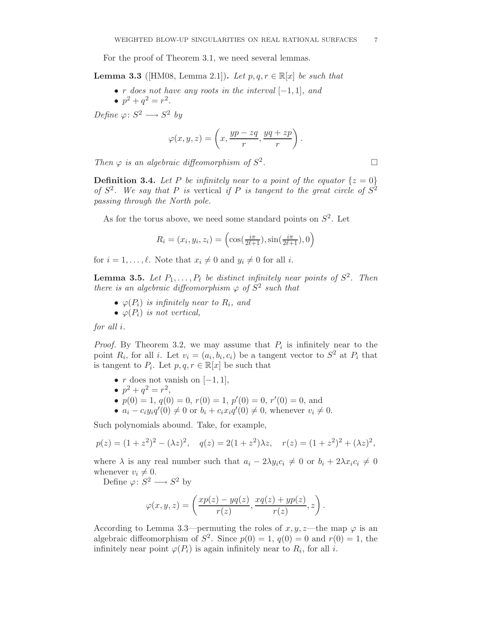For the proof of Theorem 3.1, we need several lemmas.

- **Lemma 3.3** ([HM08, Lemma 2.1]). Let  $p, q, r \in \mathbb{R}[x]$  be such that
	- r does not have any roots in the interval  $[-1, 1]$ , and
		- $p^2 + q^2 = r^2$ .

Define  $\varphi: S^2 \longrightarrow S^2$  by

$$
\varphi(x, y, z) = \left(x, \frac{yp - zq}{r}, \frac{yq + zp}{r}\right).
$$

Then  $\varphi$  is an algebraic diffeomorphism of  $S^2$ . — Первый профессиональный профессиональный профессиональный профессиональный профессиональный профессиональн<br>В 1990 году в 1990 году в 1990 году в 1990 году в 1990 году в 1990 году в 1990 году в 1990 году в 1990 году в<br>

**Definition 3.4.** Let P be infinitely near to a point of the equator  $\{z = 0\}$ of  $S^2$ . We say that P is vertical if P is tangent to the great circle of  $S^2$ passing through the North pole.

As for the torus above, we need some standard points on  $S^2$ . Let

$$
R_i = (x_i, y_i, z_i) = \left(\cos(\frac{i\pi}{2\ell+1}), \sin(\frac{i\pi}{2\ell+1}), 0\right)
$$

for  $i = 1, \ldots, \ell$ . Note that  $x_i \neq 0$  and  $y_i \neq 0$  for all i.

**Lemma 3.5.** Let  $P_1, \ldots, P_\ell$  be distinct infinitely near points of  $S^2$ . Then there is an algebraic diffeomorphism  $\varphi$  of  $S^2$  such that

- $\varphi(P_i)$  is infinitely near to  $R_i$ , and
- $\varphi(P_i)$  is not vertical,

for all i.

*Proof.* By Theorem 3.2, we may assume that  $P_i$  is infinitely near to the point  $R_i$ , for all i. Let  $v_i = (a_i, b_i, c_i)$  be a tangent vector to  $S^2$  at  $P_i$  that is tangent to  $P_i$ . Let  $p, q, r \in \mathbb{R}[x]$  be such that

- r does not vanish on  $[-1, 1]$ ,
- $p^2 + q^2 = r^2$ ,
- $p(0) = 1, q(0) = 0, r(0) = 1, p'(0) = 0, r'(0) = 0$ , and
- $a_i c_i y_i q'(0) \neq 0$  or  $b_i + c_i x_i q'(0) \neq 0$ , whenever  $v_i \neq 0$ .

Such polynomials abound. Take, for example,

$$
p(z) = (1 + z2)2 - (\lambda z)2
$$
,  $q(z) = 2(1 + z2)\lambda z$ ,  $r(z) = (1 + z2)2 + (\lambda z)2$ ,

where  $\lambda$  is any real number such that  $a_i - 2\lambda y_i c_i \neq 0$  or  $b_i + 2\lambda x_i c_i \neq 0$ whenever  $v_i \neq 0$ .

Define  $\varphi: S^2 \longrightarrow S^2$  by

$$
\varphi(x,y,z) = \left(\frac{xp(z) - yq(z)}{r(z)}, \frac{xq(z) + yp(z)}{r(z)}, z\right).
$$

According to Lemma 3.3—permuting the roles of x, y, z—the map  $\varphi$  is an algebraic diffeomorphism of  $S^2$ . Since  $p(0) = 1$ ,  $q(0) = 0$  and  $r(0) = 1$ , the infinitely near point  $\varphi(P_i)$  is again infinitely near to  $R_i$ , for all i.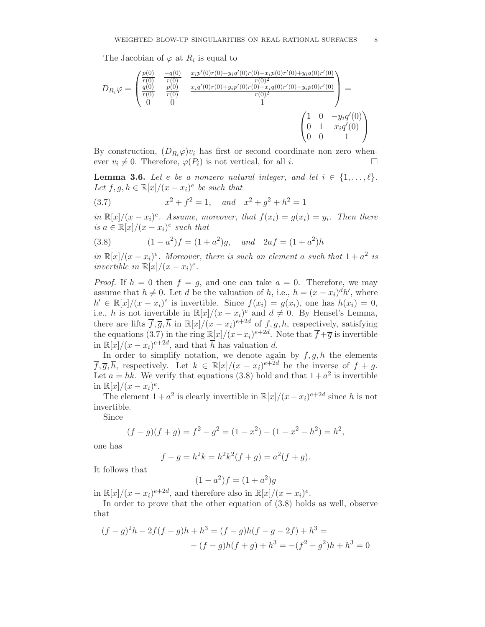The Jacobian of  $\varphi$  at  $R_i$  is equal to

$$
D_{R_i}\varphi = \begin{pmatrix} \frac{p(0)}{r(0)} & \frac{-q(0)}{r(0)} & \frac{x_i p'(0)r(0) - y_i q'(0)r(0) - x_i p(0)r'(0) + y_i q(0)r'(0)}{r(0)^2} \\ \frac{q(0)}{r(0)} & \frac{p(0)}{r(0)} & \frac{x_i q'(0)r(0) + y_i p'(0)r(0) - x_i q(0)r'(0) - y_i p(0)r'(0)}{r(0)^2} \\ 0 & 0 & 1 \end{pmatrix} = \begin{pmatrix} 1 & 0 & -y_i q'(0) \\ 0 & 1 & x_i q'(0) \\ 0 & 0 & 1 \end{pmatrix}
$$

By construction,  $(D_{R_i}\varphi)v_i$  has first or second coordinate non zero whenever  $v_i \neq 0$ . Therefore,  $\varphi(P_i)$  is not vertical, for all i.

**Lemma 3.6.** Let e be a nonzero natural integer, and let  $i \in \{1, \ldots, \ell\}$ . Let  $f, g, h \in \mathbb{R}[x]/(x - x_i)^e$  be such that

(3.7) 
$$
x^2 + f^2 = 1, \quad and \quad x^2 + g^2 + h^2 = 1
$$

in  $\mathbb{R}[x]/(x-x_i)^e$ . Assume, moreover, that  $f(x_i) = g(x_i) = y_i$ . Then there is  $a \in \mathbb{R}[x]/(x-x_i)^e$  such that

(3.8) 
$$
(1 - a^2)f = (1 + a^2)g, \text{ and } 2af = (1 + a^2)h
$$

in  $\mathbb{R}[x]/(x-x_i)^e$ . Moreover, there is such an element a such that  $1+a^2$  is invertible in  $\mathbb{R}[x]/(x-x_i)^e$ .

*Proof.* If  $h = 0$  then  $f = g$ , and one can take  $a = 0$ . Therefore, we may assume that  $h \neq 0$ . Let d be the valuation of h, i.e.,  $h = (x - x_i)^d h'$ , where  $h' \in \mathbb{R}[x]/(x-x_i)^e$  is invertible. Since  $f(x_i) = g(x_i)$ , one has  $h(x_i) = 0$ , i.e., h is not invertible in  $\mathbb{R}[x]/(x-x_i)^e$  and  $d \neq 0$ . By Hensel's Lemma, there are lifts  $\overline{f}, \overline{g}, \overline{h}$  in  $\mathbb{R}[x]/(x-x_i)^{e+2d}$  of  $f, g, h$ , respectively, satisfying the equations (3.7) in the ring  $\mathbb{R}[x]/(x-x_i)^{e+2d}$ . Note that  $\overline{f}+\overline{g}$  is invertible in  $\mathbb{R}[x]/(x-x_i)^{e+2d}$ , and that  $\overline{h}$  has valuation d.

In order to simplify notation, we denote again by  $f, g, h$  the elements  $\overline{f}, \overline{g}, \overline{h}$ , respectively. Let  $k \in \mathbb{R}[x]/(x-x_i)^{e+2d}$  be the inverse of  $f+g$ . Let  $a = hk$ . We verify that equations (3.8) hold and that  $1 + a^2$  is invertible in  $\mathbb{R}[x]/(x-x_i)^e$ .

The element  $1 + a^2$  is clearly invertible in  $\mathbb{R}[x]/(x - x_i)^{e+2d}$  since h is not invertible.

Since

$$
(f-g)(f+g) = f2 - g2 = (1 - x2) - (1 - x2 - h2) = h2,
$$

one has

$$
f - g = h^2 k = h^2 k^2 (f + g) = a^2 (f + g).
$$

It follows that

$$
(1 - a^2)f = (1 + a^2)g
$$

in  $\mathbb{R}[x]/(x-x_i)^{e+2d}$ , and therefore also in  $\mathbb{R}[x]/(x-x_i)^e$ .

In order to prove that the other equation of (3.8) holds as well, observe that

$$
(f-g)^{2}h - 2f(f-g)h + h^{3} = (f-g)h(f-g-2f) + h^{3} =
$$
  
- 
$$
(f-g)h(f+g) + h^{3} = -(f^{2}-g^{2})h + h^{3} = 0
$$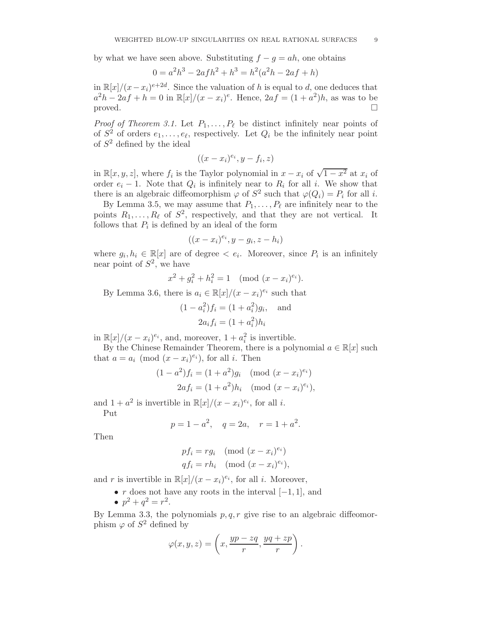by what we have seen above. Substituting  $f - g = ah$ , one obtains

$$
0 = a2h3 - 2afh2 + h3 = h2(a2h - 2af + h)
$$

in  $\mathbb{R}[x]/(x-x_i)^{e+2d}$ . Since the valuation of h is equal to d, one deduces that  $a^2h - 2af + h = 0$  in  $\mathbb{R}[x]/(x - x_i)^e$ . Hence,  $2af = (1 + a^2)h$ , as was to be proved.  $\Box$ 

*Proof of Theorem 3.1.* Let  $P_1, \ldots, P_\ell$  be distinct infinitely near points of of  $S^2$  of orders  $e_1, \ldots, e_\ell$ , respectively. Let  $Q_i$  be the infinitely near point of  $S^2$  defined by the ideal

$$
((x-x_i)^{e_i}, y-f_i, z)
$$

in  $\mathbb{R}[x, y, z]$ , where  $f_i$  is the Taylor polynomial in  $x - x_i$  of  $\sqrt{1 - x^2}$  at  $x_i$  of order  $e_i - 1$ . Note that  $Q_i$  is infinitely near to  $R_i$  for all i. We show that there is an algebraic diffeomorphism  $\varphi$  of  $S^2$  such that  $\varphi(Q_i) = P_i$  for all *i*.

By Lemma 3.5, we may assume that  $P_1, \ldots, P_\ell$  are infinitely near to the points  $R_1, \ldots, R_\ell$  of  $S^2$ , respectively, and that they are not vertical. It follows that  $P_i$  is defined by an ideal of the form

$$
((x-x_i)^{e_i}, y-g_i, z-h_i)
$$

where  $g_i, h_i \in \mathbb{R}[x]$  are of degree  $\lt e_i$ . Moreover, since  $P_i$  is an infinitely near point of  $S^2$ , we have

$$
x^2 + g_i^2 + h_i^2 = 1 \pmod{(x - x_i)^{e_i}}.
$$

By Lemma 3.6, there is  $a_i \in \mathbb{R}[x]/(x-x_i)^{e_i}$  such that

$$
(1 - a_i^2) f_i = (1 + a_i^2) g_i
$$
, and  
 $2a_i f_i = (1 + a_i^2) h_i$ 

in  $\mathbb{R}[x]/(x-x_i)^{e_i}$ , and, moreover,  $1+a_i^2$  is invertible.

By the Chinese Remainder Theorem, there is a polynomial  $a \in \mathbb{R}[x]$  such that  $a = a_i \pmod{(x - x_i)^{e_i}}$ , for all *i*. Then

$$
(1 - a2)fi = (1 + a2)gi \pmod{(x - xi)ei}}
$$
  
2af<sub>i</sub> = (1 + a<sup>2</sup>)h<sub>i</sub> \pmod{(x - x<sub>i</sub>)<sup>e<sub>i</sub></sup>},

and  $1 + a^2$  is invertible in  $\mathbb{R}[x]/(x - x_i)^{e_i}$ , for all *i*.

Put

$$
p = 1 - a^2
$$
,  $q = 2a$ ,  $r = 1 + a^2$ .

Then

$$
pf_i = rg_i \pmod{(x - x_i)^{e_i}}
$$
  

$$
qf_i = rh_i \pmod{(x - x_i)^{e_i}},
$$

and r is invertible in  $\mathbb{R}[x]/(x-x_i)^{e_i}$ , for all *i*. Moreover,

- r does not have any roots in the interval  $[-1, 1]$ , and
- $p^2 + q^2 = r^2$ .

By Lemma 3.3, the polynomials  $p,q,r$  give rise to an algebraic diffeomorphism  $\varphi$  of  $S^2$  defined by

$$
\varphi(x, y, z) = \left(x, \frac{yp - zq}{r}, \frac{yq + zp}{r}\right).
$$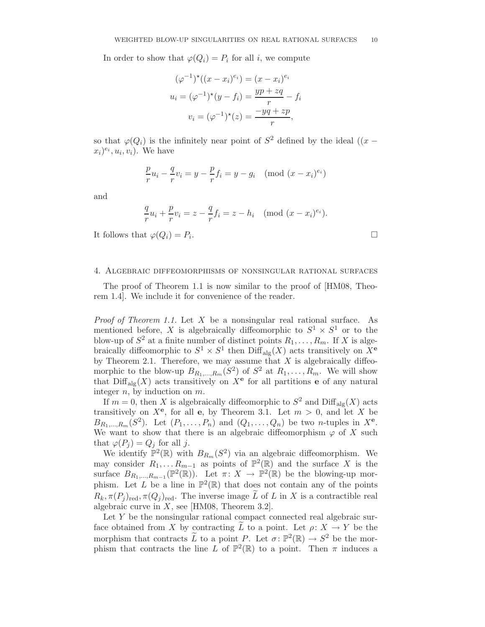In order to show that  $\varphi(Q_i) = P_i$  for all *i*, we compute

$$
(\varphi^{-1})^*( (x - x_i)^{e_i}) = (x - x_i)^{e_i}
$$

$$
u_i = (\varphi^{-1})^*(y - f_i) = \frac{yp + zq}{r} - f_i
$$

$$
v_i = (\varphi^{-1})^*(z) = \frac{-yq + zp}{r},
$$

so that  $\varphi(Q_i)$  is the infinitely near point of  $S^2$  defined by the ideal  $((x (x_i)^{e_i}, u_i, v_i$ ). We have

$$
\frac{p}{r}u_i - \frac{q}{r}v_i = y - \frac{p}{r}f_i = y - g_i \pmod{(x - x_i)^{e_i}}
$$

and

$$
\frac{q}{r}u_i + \frac{p}{r}v_i = z - \frac{q}{r}f_i = z - h_i \pmod{(x - x_i)^{e_i}}.
$$

It follows that  $\varphi(Q_i) = P_i$ .

#### 4. Algebraic diffeomorphisms of nonsingular rational surfaces

The proof of Theorem 1.1 is now similar to the proof of [HM08, Theorem 1.4]. We include it for convenience of the reader.

*Proof of Theorem 1.1.* Let  $X$  be a nonsingular real rational surface. As mentioned before, X is algebraically diffeomorphic to  $S^1 \times S^1$  or to the blow-up of  $S^2$  at a finite number of distinct points  $R_1, \ldots, R_m$ . If X is algebraically diffeomorphic to  $S^1 \times S^1$  then  $\text{Diff}_{\text{alg}}(X)$  acts transitively on  $X^e$ by Theorem 2.1. Therefore, we may assume that  $X$  is algebraically diffeomorphic to the blow-up  $B_{R_1,...,R_m}(S^2)$  of  $S^2$  at  $R_1,...,R_m$ . We will show that  $\text{Diff}_{\text{alg}}(X)$  acts transitively on  $X^{\mathbf{e}}$  for all partitions **e** of any natural integer  $n$ , by induction on  $m$ .

If  $m = 0$ , then X is algebraically diffeomorphic to  $S^2$  and  $\text{Diff}_{\text{alg}}(X)$  acts transitively on  $X^e$ , for all e, by Theorem 3.1. Let  $m > 0$ , and let X be  $B_{R_1,\ldots,R_m}(S^2)$ . Let  $(P_1,\ldots,P_n)$  and  $(Q_1,\ldots,Q_n)$  be two *n*-tuples in  $X^e$ . We want to show that there is an algebraic diffeomorphism  $\varphi$  of X such that  $\varphi(P_j) = Q_j$  for all j.

We identify  $\mathbb{P}^2(\mathbb{R})$  with  $B_{R_m}(S^2)$  via an algebraic diffeomorphism. We may consider  $R_1, \ldots R_{m-1}$  as points of  $\mathbb{P}^2(\mathbb{R})$  and the surface X is the surface  $B_{R_1,\dots,R_{m-1}}(\mathbb{P}^2(\mathbb{R}))$ . Let  $\pi: X \to \mathbb{P}^2(\mathbb{R})$  be the blowing-up morphism. Let L be a line in  $\mathbb{P}^2(\mathbb{R})$  that does not contain any of the points  $R_k, \pi(P_i)_{\text{red}}, \pi(Q_i)_{\text{red}}$ . The inverse image  $\overline{L}$  of  $L$  in X is a contractible real algebraic curve in  $X$ , see [HM08, Theorem 3.2].

Let Y be the nonsingular rational compact connected real algebraic surface obtained from X by contracting L to a point. Let  $\rho: X \to Y$  be the morphism that contracts  $\widetilde{L}$  to a point P. Let  $\sigma: \mathbb{P}^2(\mathbb{R}) \to S^2$  be the morphism that contracts the line L of  $\mathbb{P}^2(\mathbb{R})$  to a point. Then  $\pi$  induces a

.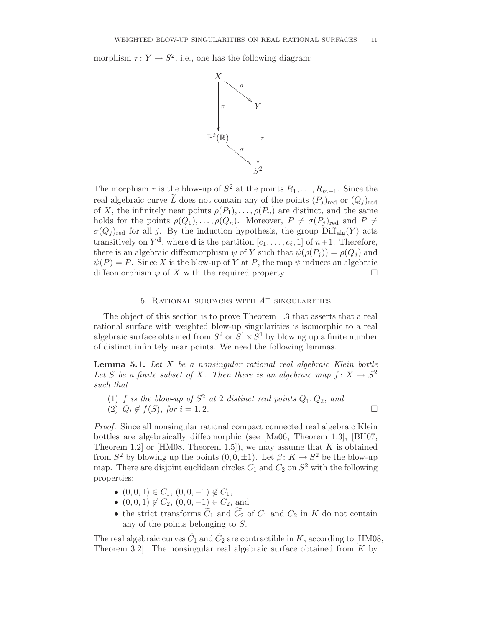morphism  $\tau: Y \to S^2$ , i.e., one has the following diagram:



The morphism  $\tau$  is the blow-up of  $S^2$  at the points  $R_1, \ldots, R_{m-1}$ . Since the real algebraic curve  $\widetilde{L}$  does not contain any of the points  $(P_i)_{\text{red}}$  or  $(Q_i)_{\text{red}}$ of X, the infinitely near points  $\rho(P_1), \ldots, \rho(P_n)$  are distinct, and the same holds for the points  $\rho(Q_1), \ldots, \rho(Q_n)$ . Moreover,  $P \neq \sigma(P_j)_{\text{red}}$  and  $P \neq$  $\sigma(Q_i)_{\text{red}}$  for all j. By the induction hypothesis, the group  $\text{Diff}_{\text{alg}}(Y)$  acts transitively on  $Y^d$ , where **d** is the partition  $[e_1, \ldots, e_\ell, 1]$  of  $n+1$ . Therefore, there is an algebraic diffeomorphism  $\psi$  of Y such that  $\psi(\rho(P_i)) = \rho(Q_i)$  and  $\psi(P) = P$ . Since X is the blow-up of Y at P, the map  $\psi$  induces an algebraic diffeomorphism  $\varphi$  of X with the required property.

# 5. RATIONAL SURFACES WITH  $A^-$  singularities

The object of this section is to prove Theorem 1.3 that asserts that a real rational surface with weighted blow-up singularities is isomorphic to a real algebraic surface obtained from  $S^2$  or  $S^1 \times S^1$  by blowing up a finite number of distinct infinitely near points. We need the following lemmas.

**Lemma 5.1.** Let  $X$  be a nonsingular rational real algebraic Klein bottle Let S be a finite subset of X. Then there is an algebraic map  $f: X \to S^2$ such that

(1) f is the blow-up of  $S^2$  at 2 distinct real points  $Q_1, Q_2$ , and (2)  $Q_i \notin f(S)$ , for  $i = 1, 2$ .

Proof. Since all nonsingular rational compact connected real algebraic Klein bottles are algebraically diffeomorphic (see [Ma06, Theorem 1.3], [BH07, Theorem 1.2 or  $[HM08, Theorem 1.5]$ , we may assume that K is obtained from  $S^2$  by blowing up the points  $(0, 0, \pm 1)$ . Let  $\beta: K \to S^2$  be the blow-up map. There are disjoint euclidean circles  $C_1$  and  $C_2$  on  $S^2$  with the following properties:

- $(0, 0, 1) \in C_1$ ,  $(0, 0, -1) \notin C_1$ ,
- $(0, 0, 1) \notin C_2$ ,  $(0, 0, -1) \in C_2$ , and
- the strict transforms  $C_1$  and  $C_2$  of  $C_1$  and  $C_2$  in K do not contain any of the points belonging to S.

The real algebraic curves  $\widetilde C_1$  and  $\widetilde C_2$  are contractible in  $K$ , according to [HM08, Theorem 3.2. The nonsingular real algebraic surface obtained from  $K$  by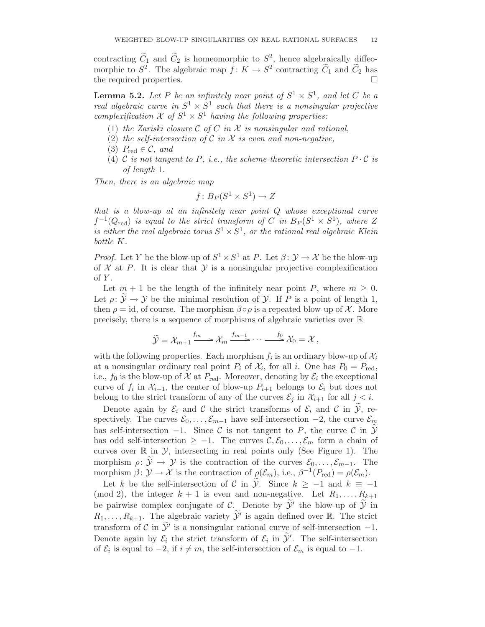contracting  $\tilde{C}_1$  and  $\tilde{C}_2$  is homeomorphic to  $S^2$ , hence algebraically diffeomorphic to  $S^2$ . The algebraic map  $f: K \to S^2$  contracting  $\widetilde{C}_1$  and  $\widetilde{C}_2$  has the required properties.

**Lemma 5.2.** Let P be an infinitely near point of  $S^1 \times S^1$ , and let C be a real algebraic curve in  $S^1 \times S^1$  such that there is a nonsingular projective complexification  $\mathcal X$  of  $S^1 \times S^1$  having the following properties:

- (1) the Zariski closure  $C$  of  $C$  in  $X$  is nonsingular and rational,
- (2) the self-intersection of  $\mathcal C$  in  $\mathcal X$  is even and non-negative,
- (3)  $P_{\text{red}} \in \mathcal{C}$ , and
- (4) C is not tangent to P, i.e., the scheme-theoretic intersection  $P \cdot C$  is of length 1.

Then, there is an algebraic map

$$
f\colon B_P(S^1 \times S^1) \to Z
$$

that is a blow-up at an infinitely near point Q whose exceptional curve  $f^{-1}(Q_{\text{red}})$  is equal to the strict transform of C in  $B_P(S^1 \times S^1)$ , where Z is either the real algebraic torus  $S^1 \times S^1$ , or the rational real algebraic Klein bottle K.

*Proof.* Let Y be the blow-up of  $S^1 \times S^1$  at P. Let  $\beta: \mathcal{Y} \to \mathcal{X}$  be the blow-up of  $X$  at P. It is clear that  $Y$  is a nonsingular projective complexification of  $Y$ .

Let  $m + 1$  be the length of the infinitely near point P, where  $m \geq 0$ . Let  $\rho: \mathcal{Y} \to \mathcal{Y}$  be the minimal resolution of  $\mathcal{Y}$ . If P is a point of length 1, then  $\rho = id$ , of course. The morphism  $\beta \circ \rho$  is a repeated blow-up of X. More precisely, there is a sequence of morphisms of algebraic varieties over R

$$
\widetilde{\mathcal{Y}} = \mathcal{X}_{m+1} \xrightarrow{f_m} \mathcal{X}_m \xrightarrow{f_{m-1}} \cdots \xrightarrow{f_0} \mathcal{X}_0 = \mathcal{X},
$$

with the following properties. Each morphism  $f_i$  is an ordinary blow-up of  $\mathcal{X}_i$ at a nonsingular ordinary real point  $P_i$  of  $\mathcal{X}_i$ , for all i. One has  $P_0 = P_{\text{red}}$ , i.e.,  $f_0$  is the blow-up of X at  $P_{\text{red}}$ . Moreover, denoting by  $\mathcal{E}_i$  the exceptional curve of  $f_i$  in  $\mathcal{X}_{i+1}$ , the center of blow-up  $P_{i+1}$  belongs to  $\mathcal{E}_i$  but does not belong to the strict transform of any of the curves  $\mathcal{E}_j$  in  $\mathcal{X}_{i+1}$  for all  $j < i$ .

Denote again by  $\mathcal{E}_i$  and C the strict transforms of  $\mathcal{E}_i$  and C in  $\mathcal{Y}$ , respectively. The curves  $\mathcal{E}_0, \ldots, \mathcal{E}_{m-1}$  have self-intersection  $-2$ , the curve  $\mathcal{E}_m$ has self-intersection  $-1$ . Since C is not tangent to P, the curve C in  $\widetilde{\mathcal{Y}}$ has odd self-intersection  $\geq -1$ . The curves  $\mathcal{C}, \mathcal{E}_0, \ldots, \mathcal{E}_m$  form a chain of curves over  $\mathbb R$  in  $\mathcal Y$ , intersecting in real points only (See Figure 1). The morphism  $\rho: \widetilde{\mathcal{Y}} \to \mathcal{Y}$  is the contraction of the curves  $\mathcal{E}_0, \ldots, \mathcal{E}_{m-1}$ . The morphism  $\beta \colon \mathcal{Y} \to \mathcal{X}$  is the contraction of  $\rho(\mathcal{E}_m)$ , i.e.,  $\beta^{-1}(P_{\text{red}}) = \rho(\mathcal{E}_m)$ .

Let k be the self-intersection of C in  $\mathcal{Y}$ . Since  $k \ge -1$  and  $k \equiv -1$ (mod 2), the integer  $k + 1$  is even and non-negative. Let  $R_1, \ldots, R_{k+1}$ be pairwise complex conjugate of C. Denote by  $\widetilde{\mathcal{Y}}'$  the blow-up of  $\widetilde{\mathcal{Y}}$  in  $R_1, \ldots, R_{k+1}$ . The algebraic variety  $\widetilde{\mathcal{Y}}'$  is again defined over  $\mathbb{R}$ . The strict transform of C in  $\tilde{\mathcal{Y}}'$  is a nonsingular rational curve of self-intersection -1. Denote again by  $\mathcal{E}_i$  the strict transform of  $\mathcal{E}_i$  in  $\widetilde{\mathcal{Y}}'$ . The self-intersection of  $\mathcal{E}_i$  is equal to  $-2$ , if  $i \neq m$ , the self-intersection of  $\mathcal{E}_m$  is equal to  $-1$ .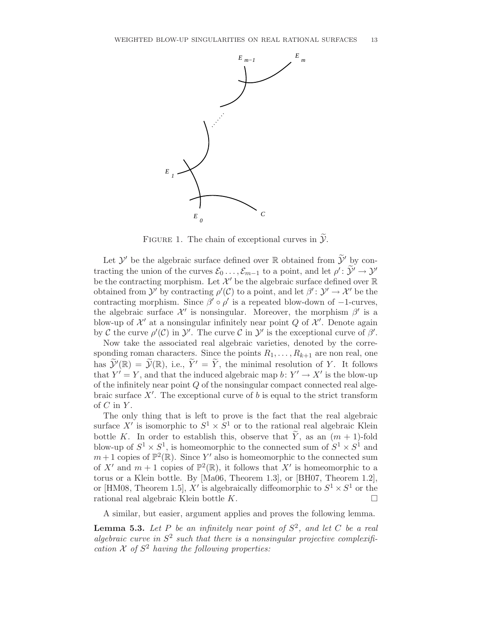

FIGURE 1. The chain of exceptional curves in  $\widetilde{\mathcal{Y}}$ .

Let  $\mathcal{Y}'$  be the algebraic surface defined over  $\mathbb R$  obtained from  $\widetilde{\mathcal{Y}}'$  by contracting the union of the curves  $\mathcal{E}_0 \dots, \mathcal{E}_{m-1}$  to a point, and let  $\rho' : \widetilde{\mathcal{Y}}' \to \mathcal{Y}'$ be the contracting morphism. Let  $\mathcal{X}'$  be the algebraic surface defined over  $\mathbb R$ obtained from  $\mathcal{Y}'$  by contracting  $\rho'(\mathcal{C})$  to a point, and let  $\beta': \mathcal{Y}' \to \mathcal{X}'$  be the contracting morphism. Since  $\beta' \circ \rho'$  is a repeated blow-down of -1-curves, the algebraic surface  $\mathcal{X}'$  is nonsingular. Moreover, the morphism  $\beta'$  is a blow-up of  $\mathcal{X}'$  at a nonsingular infinitely near point  $Q$  of  $\mathcal{X}'$ . Denote again by C the curve  $\rho'(\mathcal{C})$  in  $\mathcal{Y}'$ . The curve C in  $\mathcal{Y}'$  is the exceptional curve of  $\beta'$ .

Now take the associated real algebraic varieties, denoted by the corresponding roman characters. Since the points  $R_1, \ldots, R_{k+1}$  are non real, one has  $\widetilde{\mathcal{Y}}'(\mathbb{R}) = \widetilde{\mathcal{Y}}(\mathbb{R})$ , i.e.,  $\widetilde{Y}' = \widetilde{Y}$ , the minimal resolution of Y. It follows that  $Y' = Y$ , and that the induced algebraic map  $b: Y' \to X'$  is the blow-up of the infinitely near point Q of the nonsingular compact connected real algebraic surface  $X'$ . The exceptional curve of b is equal to the strict transform of  $C$  in  $Y$ .

The only thing that is left to prove is the fact that the real algebraic surface  $X'$  is isomorphic to  $S^1 \times S^1$  or to the rational real algebraic Klein bottle K. In order to establish this, observe that  $\widetilde{Y}$ , as an  $(m + 1)$ -fold blow-up of  $S^1 \times S^1$ , is homeomorphic to the connected sum of  $S^1 \times S^1$  and  $m+1$  copies of  $\mathbb{P}^2(\mathbb{R})$ . Since Y' also is homeomorphic to the connected sum of X' and  $m+1$  copies of  $\mathbb{P}^2(\mathbb{R})$ , it follows that X' is homeomorphic to a torus or a Klein bottle. By [Ma06, Theorem 1.3], or [BH07, Theorem 1.2], or [HM08, Theorem 1.5],  $X'$  is algebraically diffeomorphic to  $S^1 \times S^1$  or the rational real algebraic Klein bottle  $K$ .

A similar, but easier, argument applies and proves the following lemma.

**Lemma 5.3.** Let P be an infinitely near point of  $S^2$ , and let C be a real algebraic curve in  $S^2$  such that there is a nonsingular projective complexification  $\mathcal X$  of  $S^2$  having the following properties: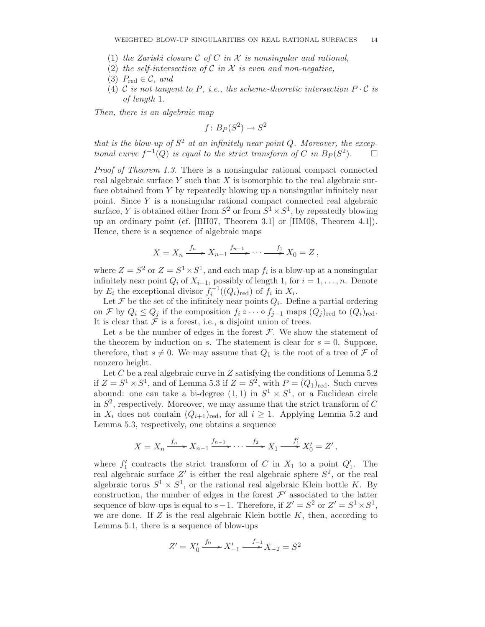- (1) the Zariski closure C of C in X is nonsingular and rational,
- (2) the self-intersection of C in X is even and non-negative,
- (3)  $P_{\text{red}} \in \mathcal{C}$ , and
- (4) C is not tangent to P, i.e., the scheme-theoretic intersection  $P \cdot C$  is of length 1.

Then, there is an algebraic map

$$
f\colon B_P(S^2)\to S^2
$$

that is the blow-up of  $S^2$  at an infinitely near point Q. Moreover, the exceptional curve  $f^{-1}(Q)$  is equal to the strict transform of C in  $B_P(S^2)$  $\Box$ 

Proof of Theorem 1.3. There is a nonsingular rational compact connected real algebraic surface Y such that X is isomorphic to the real algebraic surface obtained from Y by repeatedly blowing up a nonsingular infinitely near point. Since Y is a nonsingular rational compact connected real algebraic surface, Y is obtained either from  $S^2$  or from  $S^1 \times S^1$ , by repeatedly blowing up an ordinary point (cf. [BH07, Theorem 3.1] or [HM08, Theorem 4.1]). Hence, there is a sequence of algebraic maps

$$
X = X_n \xrightarrow{f_n} X_{n-1} \xrightarrow{f_{n-1}} \cdots \xrightarrow{f_1} X_0 = Z,
$$

where  $Z = S^2$  or  $Z = S^1 \times S^1$ , and each map  $f_i$  is a blow-up at a nonsingular infinitely near point  $Q_i$  of  $X_{i-1}$ , possibly of length 1, for  $i = 1, \ldots, n$ . Denote by  $E_i$  the exceptional divisor  $f_i^{-1}((Q_i)_{\text{red}})$  of  $f_i$  in  $X_i$ .

Let  $\mathcal F$  be the set of the infinitely near points  $Q_i$ . Define a partial ordering on F by  $Q_i \leq Q_j$  if the composition  $f_i \circ \cdots \circ f_{j-1}$  maps  $(Q_j)_{\text{red}}$  to  $(Q_i)_{\text{red}}$ . It is clear that  $\mathcal F$  is a forest, i.e., a disjoint union of trees.

Let s be the number of edges in the forest  $\mathcal F$ . We show the statement of the theorem by induction on s. The statement is clear for  $s = 0$ . Suppose, therefore, that  $s \neq 0$ . We may assume that  $Q_1$  is the root of a tree of F of nonzero height.

Let  $C$  be a real algebraic curve in  $Z$  satisfying the conditions of Lemma 5.2 if  $Z = S^1 \times S^1$ , and of Lemma 5.3 if  $Z = S^2$ , with  $P = (Q_1)_{\text{red}}$ . Such curves abound: one can take a bi-degree  $(1,1)$  in  $S^1 \times S^1$ , or a Euclidean circle in  $S^2$ , respectively. Moreover, we may assume that the strict transform of C in  $X_i$  does not contain  $(Q_{i+1})_{\text{red}}$ , for all  $i \geq 1$ . Applying Lemma 5.2 and Lemma 5.3, respectively, one obtains a sequence

$$
X = X_n \xrightarrow{f_n} X_{n-1} \xrightarrow{f_{n-1}} \cdots \xrightarrow{f_2} X_1 \xrightarrow{f'_1} X'_0 = Z',
$$

where  $f_1'$  $C'_{1}$  contracts the strict transform of C in  $X_{1}$  to a point  $Q'_{1}$ . The real algebraic surface Z' is either the real algebraic sphere  $S^2$ , or the real algebraic torus  $S^1 \times S^1$ , or the rational real algebraic Klein bottle K. By construction, the number of edges in the forest  $\mathcal{F}'$  associated to the latter sequence of blow-ups is equal to  $s-1$ . Therefore, if  $Z' = S^2$  or  $Z' = S^1 \times S^1$ , we are done. If  $Z$  is the real algebraic Klein bottle  $K$ , then, according to Lemma 5.1, there is a sequence of blow-ups

$$
Z' = X'_0 \xrightarrow{f_0} X'_{-1} \xrightarrow{f_{-1}} X_{-2} = S^2
$$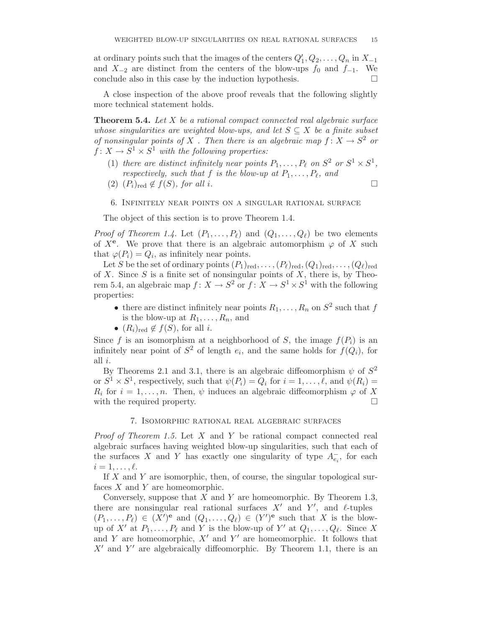at ordinary points such that the images of the centers  $Q'_1, Q_2, \ldots, Q_n$  in  $X_{-1}$ and  $X_{-2}$  are distinct from the centers of the blow-ups  $f_0$  and  $f_{-1}$ . We conclude also in this case by the induction hypothesis.  $\Box$ 

A close inspection of the above proof reveals that the following slightly more technical statement holds.

**Theorem 5.4.** Let  $X$  be a rational compact connected real algebraic surface whose singularities are weighted blow-ups, and let  $S \subseteq X$  be a finite subset of nonsingular points of X. Then there is an algebraic map  $f: X \to S^2$  or  $f \colon X \to S^1 \times S^1$  with the following properties:

- (1) there are distinct infinitely near points  $P_1, \ldots, P_\ell$  on  $S^2$  or  $S^1 \times S^1$ , respectively, such that f is the blow-up at  $P_1, \ldots, P_\ell$ , and
- (2)  $(P_i)_{\text{red}} \notin f(S)$ , for all i.

## 6. Infinitely near points on a singular rational surface

The object of this section is to prove Theorem 1.4.

*Proof of Theorem 1.4.* Let  $(P_1, \ldots, P_\ell)$  and  $(Q_1, \ldots, Q_\ell)$  be two elements of  $X^e$ . We prove that there is an algebraic automorphism  $\varphi$  of X such that  $\varphi(P_i) = Q_i$ , as infinitely near points.

Let S be the set of ordinary points  $(P_1)_{\text{red}},\ldots,(P_\ell)_{\text{red}},(Q_1)_{\text{red}},\ldots,(Q_\ell)_{\text{red}}$ of X. Since S is a finite set of nonsingular points of X, there is, by Theorem 5.4, an algebraic map  $f: X \to S^2$  or  $f: X \to S^1 \times S^1$  with the following properties:

- there are distinct infinitely near points  $R_1, \ldots, R_n$  on  $S^2$  such that f is the blow-up at  $R_1, \ldots, R_n$ , and
- $(R_i)_{\text{red}} \notin f(S)$ , for all *i*.

Since f is an isomorphism at a neighborhood of S, the image  $f(P_i)$  is an infinitely near point of  $S^2$  of length  $e_i$ , and the same holds for  $f(Q_i)$ , for all i.

By Theorems 2.1 and 3.1, there is an algebraic diffeomorphism  $\psi$  of  $S^2$ or  $S^1 \times S^1$ , respectively, such that  $\psi(P_i) = Q_i$  for  $i = 1, ..., \ell$ , and  $\psi(R_i) =$  $R_i$  for  $i = 1, \ldots, n$ . Then,  $\psi$  induces an algebraic diffeomorphism  $\varphi$  of X with the required property.

# 7. Isomorphic rational real algebraic surfaces

*Proof of Theorem 1.5.* Let  $X$  and  $Y$  be rational compact connected real algebraic surfaces having weighted blow-up singularities, such that each of the surfaces X and Y has exactly one singularity of type  $A_{e_i}^-$ , for each  $i = 1, \ldots, \ell$ .

If  $X$  and  $Y$  are isomorphic, then, of course, the singular topological surfaces  $X$  and  $Y$  are homeomorphic.

Conversely, suppose that  $X$  and  $Y$  are homeomorphic. By Theorem 1.3, there are nonsingular real rational surfaces  $X'$  and  $Y'$ , and  $\ell$ -tuples  $(P_1,\ldots,P_\ell) \in (X')^{\mathbf{e}}$  and  $(Q_1,\ldots,Q_\ell) \in (Y')^{\mathbf{e}}$  such that X is the blowup of X' at  $P_1, \ldots, P_\ell$  and Y is the blow-up of Y' at  $Q_1, \ldots, Q_\ell$ . Since X and Y are homeomorphic,  $X'$  and  $Y'$  are homeomorphic. It follows that  $X'$  and  $Y'$  are algebraically diffeomorphic. By Theorem 1.1, there is an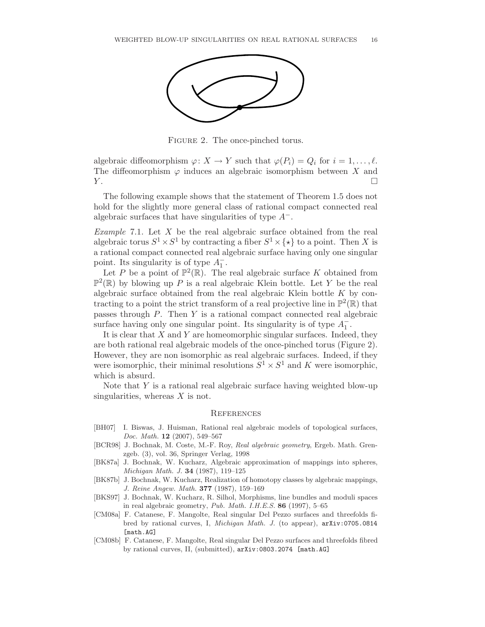

Figure 2. The once-pinched torus.

algebraic diffeomorphism  $\varphi: X \to Y$  such that  $\varphi(P_i) = Q_i$  for  $i = 1, \ldots, \ell$ . The diffeomorphism  $\varphi$  induces an algebraic isomorphism between X and  $Y.$ 

The following example shows that the statement of Theorem 1.5 does not hold for the slightly more general class of rational compact connected real algebraic surfaces that have singularities of type  $A^-$ .

Example 7.1. Let  $X$  be the real algebraic surface obtained from the real algebraic torus  $S^1 \times S^1$  by contracting a fiber  $S^1 \times \{ \star \}$  to a point. Then X is a rational compact connected real algebraic surface having only one singular point. Its singularity is of type  $A_1^ \frac{1}{1}$ .

Let P be a point of  $\mathbb{P}^2(\mathbb{R})$ . The real algebraic surface K obtained from  $\mathbb{P}^2(\mathbb{R})$  by blowing up P is a real algebraic Klein bottle. Let Y be the real algebraic surface obtained from the real algebraic Klein bottle  $K$  by contracting to a point the strict transform of a real projective line in  $\mathbb{P}^2(\mathbb{R})$  that passes through P. Then Y is a rational compact connected real algebraic surface having only one singular point. Its singularity is of type  $A_1^ \frac{1}{1}$ .

It is clear that  $X$  and  $Y$  are homeomorphic singular surfaces. Indeed, they are both rational real algebraic models of the once-pinched torus (Figure 2). However, they are non isomorphic as real algebraic surfaces. Indeed, if they were isomorphic, their minimal resolutions  $S^1 \times S^1$  and K were isomorphic, which is absurd.

Note that  $Y$  is a rational real algebraic surface having weighted blow-up singularities, whereas  $X$  is not.

### **REFERENCES**

- [BH07] I. Biswas, J. Huisman, Rational real algebraic models of topological surfaces, Doc. Math. 12 (2007), 549–567
- [BCR98] J. Bochnak, M. Coste, M.-F. Roy, Real algebraic geometry, Ergeb. Math. Grenzgeb. (3), vol. 36, Springer Verlag, 1998
- [BK87a] J. Bochnak, W. Kucharz, Algebraic approximation of mappings into spheres, Michigan Math. J. 34 (1987), 119–125
- [BK87b] J. Bochnak, W. Kucharz, Realization of homotopy classes by algebraic mappings, J. Reine Angew. Math. 377 (1987), 159–169
- [BKS97] J. Bochnak, W. Kucharz, R. Silhol, Morphisms, line bundles and moduli spaces in real algebraic geometry,  $Pub. Math. I.H.E.S. 86 (1997), 5–65$
- [CM08a] F. Catanese, F. Mangolte, Real singular Del Pezzo surfaces and threefolds fibred by rational curves, I, Michigan Math. J. (to appear), arXiv:0705.0814 [math.AG]
- [CM08b] F. Catanese, F. Mangolte, Real singular Del Pezzo surfaces and threefolds fibred by rational curves, II, (submitted), arXiv:0803.2074 [math.AG]